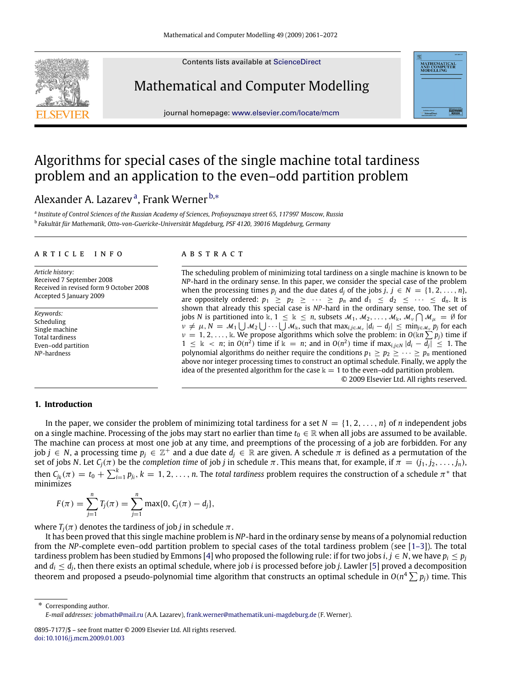Contents lists available at [ScienceDirect](http://www.elsevier.com/locate/mcm)

# Mathematical and Computer Modelling

journal homepage: [www.elsevier.com/locate/mcm](http://www.elsevier.com/locate/mcm)

# Algorithms for special cases of the single machine total tardiness problem and an application to the even–odd partition problem

# Alex[a](#page-0-0)nder A. Lazarevª, Frank Werner <sup>[b,](#page-0-1)</sup>\*

<span id="page-0-1"></span><span id="page-0-0"></span>a *Institute of Control Sciences of the Russian Academy of Sciences, Profsoyuznaya street 65, 117997 Moscow, Russia* b *Fakultät für Mathematik, Otto-von-Guericke-Universität Magdeburg, PSF 4120, 39016 Magdeburg, Germany*

#### ARTICLE INFO

*Article history:* Received 7 September 2008 Received in revised form 9 October 2008 Accepted 5 January 2009

*Keywords:* Scheduling Single machine Total tardiness Even–odd partition *NP*-hardness

# A B S T R A C T

The scheduling problem of minimizing total tardiness on a single machine is known to be *NP*-hard in the ordinary sense. In this paper, we consider the special case of the problem when the processing times  $p_i$  and the due dates  $d_i$  of the jobs  $j, j \in N = \{1, 2, \ldots, n\}$ , are oppositely ordered:  $p_1 \geq p_2 \geq \cdots \geq p_n$  and  $d_1 \leq d_2 \leq \cdots \leq d_n$ . It is shown that already this special case is *NP*-hard in the ordinary sense, too. The set of jobs *N* is partitioned into  $\Bbbk$ ,  $1 \leq \Bbbk \leq n$ , subsets  $\mathcal{M}_1, \mathcal{M}_2, \ldots, \mathcal{M}_\Bbbk, \mathcal{M}_\nu \bigcap \mathcal{M}_\mu = \emptyset$  for  $v \neq \mu, N = \mathcal{M}_1 \bigcup \mathcal{M}_2 \bigcup \cdots \bigcup \mathcal{M}_k$ , such that  $\max_{i,j \in \mathcal{M}_v} |d_i - d_j| \leq \min_{j \in \mathcal{M}_v} p_j$  for each  $\nu = 1, 2, \ldots, \mathbb{k}$ . We propose algorithms which solve the problem: in  $O(\mathbb{k}n \sum p_j)$  time if 1 ≤ k < *n*; in  $O(n^2)$  time if k = *n*; and in  $O(n^2)$  time if max<sub>*i*,*j*∈*N*  $|d_i - \overline{d_j}|$  ≤ 1. The</sub> polynomial algorithms do neither require the conditions  $p_1 \geq p_2 \geq \cdots \geq p_n$  mentioned above nor integer processing times to construct an optimal schedule. Finally, we apply the idea of the presented algorithm for the case  $k = 1$  to the even-odd partition problem. © 2009 Elsevier Ltd. All rights reserved.

MATHEMATICAL<br>AND COMPUTER<br>MODELLING

#### **1. Introduction**

In the paper, we consider the problem of minimizing total tardiness for a set  $N = \{1, 2, ..., n\}$  of *n* independent jobs on a single machine. Processing of the jobs may start no earlier than time  $t_0 \in \mathbb{R}$  when all jobs are assumed to be available. The machine can process at most one job at any time, and preemptions of the processing of a job are forbidden. For any job  $j\in N$ , a processing time  $p_j\in\mathbb{Z}^+$  and a due date  $d_j\in\mathbb{R}$  are given. A schedule  $\pi$  is defined as a permutation of the set of jobs *N*. Let *C*<sub>*j*</sub>(π) be the *completion time* of job *j* in schedule π. This means that, for example, if  $π = (j_1, j_2, \ldots, j_n)$ , then  $C_{j_k}(\pi) = t_0 + \sum_{i=1}^k p_{j_i}$ ,  $k = 1, 2, ..., n$ . The *total tardiness* problem requires the construction of a schedule  $\pi^*$  that minimizes

$$
F(\pi) = \sum_{j=1}^{n} T_j(\pi) = \sum_{j=1}^{n} \max\{0, C_j(\pi) - d_j\},
$$

where  $T_i(\pi)$  denotes the tardiness of job *j* in schedule  $\pi$ .

It has been proved that this single machine problem is *NP*-hard in the ordinary sense by means of a polynomial reduction from the *NP*-complete even–odd partition problem to special cases of the total tardiness problem (see [\[1–3\]](#page-11-0)). The total tardiness problem has been studied by Emmons [\[4\]](#page-11-1) who proposed the following rule: if for two jobs *i*, *j* ∈ *N*, we have  $p_i \leq p_j$ and *d<sup>i</sup>* ≤ *d<sup>j</sup>* , then there exists an optimal schedule, where job *i* is processed before job *j*. Lawler [\[5\]](#page-11-2) proved a decomposition theorem and proposed a pseudo-polynomial time algorithm that constructs an optimal schedule in  $O(n^4\sum p_j)$  time. This

<span id="page-0-2"></span>Corresponding author. *E-mail addresses:* [jobmath@mail.ru](mailto:jobmath@mail.ru) (A.A. Lazarev), [frank.werner@mathematik.uni-magdeburg.de](mailto:frank.werner@mathematik.uni-magdeburg.de) (F. Werner).



<sup>0895-7177/\$ –</sup> see front matter © 2009 Elsevier Ltd. All rights reserved. [doi:10.1016/j.mcm.2009.01.003](http://dx.doi.org/10.1016/j.mcm.2009.01.003)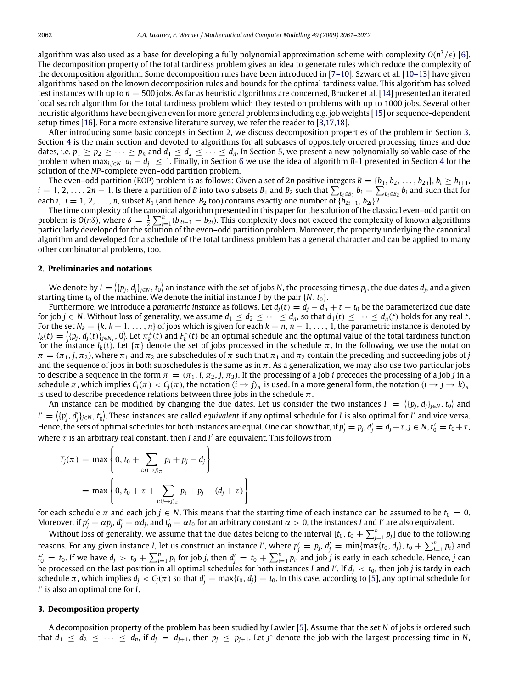algorithm was also used as a base for developing a fully polynomial approximation scheme with complexity  $O(n^7/\epsilon)$  [\[6\]](#page-11-3). The decomposition property of the total tardiness problem gives an idea to generate rules which reduce the complexity of the decomposition algorithm. Some decomposition rules have been introduced in [\[7–10\]](#page-11-4). Szwarc et al. [\[10–13\]](#page-11-5) have given algorithms based on the known decomposition rules and bounds for the optimal tardiness value. This algorithm has solved test instances with up to *n* = 500 jobs. As far as heuristic algorithms are concerned, Brucker et al. [\[14\]](#page-11-6) presented an iterated local search algorithm for the total tardiness problem which they tested on problems with up to 1000 jobs. Several other heuristic algorithms have been given even for more general problems including e.g. job weights [\[15\]](#page-11-7) or sequence-dependent setup times [\[16\]](#page-11-8). For a more extensive literature survey, we refer the reader to [\[3,](#page-11-9)[17](#page-11-10)[,18\]](#page-11-11).

After introducing some basic concepts in Section [2,](#page-1-0) we discuss decomposition properties of the problem in Section [3.](#page-1-1) Section [4](#page-2-0) is the main section and devoted to algorithms for all subcases of oppositely ordered processing times and due dates, i.e.  $p_1 \geq p_2 \geq \cdots \geq p_n$  and  $d_1 \leq d_2 \leq \cdots \leq d_n$ . In Section [5,](#page-7-0) we present a new polynomially solvable case of the problem when max*i*,*j*∈*<sup>N</sup>* |*d<sup>i</sup>* − *d<sup>j</sup>* | ≤ 1. Finally, in Section [6](#page-8-0) we use the idea of algorithm *B*-1 presented in Section [4](#page-2-0) for the solution of the *NP*-complete even–odd partition problem.

The even–odd partition (EOP) problem is as follows: Given a set of 2*n* positive integers  $B = \{b_1, b_2, \ldots, b_{2n}\}, b_i \geq b_{i+1}$ ,  $i=1,2,\ldots,2n-1.$  Is there a partition of B into two subsets  $B_1$  and  $B_2$  such that  $\sum_{b_i\in B_1}b_i=\sum_{b_i\in B_2}b_i$  and such that for each *i*,  $i = 1, 2, \ldots, n$ , subset  $B_1$  (and hence,  $B_2$  too) contains exactly one number of  $\{b_{2i-1}, b_{2i}\}$ ?

The time complexity of the canonical algorithm presented in this paper for the solution of the classical even–odd partition problem is  $O(n\delta)$ , where  $\delta = \frac{1}{2} \sum_{i=1}^{n} (b_{2i-1} - b_{2i})$ . This complexity does not exceed the complexity of known algorithms particularly developed for the solution of the even–odd partition problem. Moreover, the property underlying the canonical algorithm and developed for a schedule of the total tardiness problem has a general character and can be applied to many other combinatorial problems, too.

#### <span id="page-1-0"></span>**2. Preliminaries and notations**

We denote by  $I=\langle \{p_j,d_j\}_{j\in N},$   $t_0\rangle$  an instance with the set of jobs  $N$ , the processing times  $p_j$ , the due dates  $d_j$ , and a given starting time  $t_0$  of the machine. We denote the initial instance *I* by the pair  $\{N, t_0\}$ .

Furthermore, we introduce a *parametric instance* as follows. Let  $d_j(t) = d_j - d_n + t - t_0$  be the parameterized due date for job *j* ∈ *N*. Without loss of generality, we assume  $d_1 ≤ d_2 ≤ · · · ≤ d_n$ , so that  $d_1(t) ≤ · · · ≤ d_n(t)$  holds for any real *t*. For the set  $N_k = \{k, k+1, \ldots, n\}$  of jobs which is given for each  $k = n, n-1, \ldots, 1$ , the parametric instance is denoted by  $I_k(t) = \langle \{p_j, d_j(t)\}_{j \in N_k}, 0 \rangle$ . Let  $\pi_k^*(t)$  and  $F_k^*(t)$  be an optimal schedule and the optimal value of the total tardiness function for the instance  $I_k(t)$ . Let  $\{\pi\}$  denote the set of jobs processed in the schedule  $\pi$ . In the following, we use the notation  $\pi = (\pi_1, j, \pi_2)$ , where  $\pi_1$  and  $\pi_2$  are subschedules of  $\pi$  such that  $\pi_1$  and  $\pi_2$  contain the preceding and succeeding jobs of *j* and the sequence of jobs in both subschedules is the same as in  $\pi$ . As a generalization, we may also use two particular jobs to describe a sequence in the form  $\pi = (\pi_1, i, \pi_2, j, \pi_3)$ . If the processing of a job *i* precedes the processing of a job *j* in a schedule π, which implies  $C_i(\pi) < C_i(\pi)$ , the notation  $(i \to j)$ π is used. In a more general form, the notation  $(i \to j \to k)$ π is used to describe precedence relations between three jobs in the schedule  $\pi$ .

An instance can be modified by changing the due dates. Let us consider the two instances  $I = \langle \{p_j, d_j\}_{j\in N}, t_0\rangle$  and  $I'=\langle \{p'_j,d'_j\}_{j\in N},t'_0\rangle$ . These instances are called *equivalent* if any optimal schedule for *I* is also optimal for *I'* and vice versa. Hence, the sets of optimal schedules for both instances are equal. One can show that, if  $p'_j=p_j$ ,  $d'_j=d_j+\tau$ ,  $j\in N$ ,  $t'_0=t_0+\tau$ , where  $\tau$  is an arbitrary real constant, then *I* and *I'* are equivalent. This follows from

$$
T_j(\pi) = \max \left\{ 0, t_0 + \sum_{i:(i \to j)_{\pi}} p_i + p_j - d_j \right\}
$$
  
= max  $\left\{ 0, t_0 + \tau + \sum_{i:(i \to j)_{\pi}} p_i + p_j - (d_j + \tau) \right\}$ 

for each schedule  $\pi$  and each job  $j \in N$ . This means that the starting time of each instance can be assumed to be  $t_0 = 0$ . Moreover, if  $p'_j = \alpha p_j$ ,  $d'_j = \alpha d_j$ , and  $t'_0 = \alpha t_0$  for an arbitrary constant  $\alpha > 0$ , the instances *I* and *I'* are also equivalent.

Without loss of generality, we assume that the due dates belong to the interval  $[t_0,t_0+\sum_{j=1}^np_j]$  due to the following reasons. For any given instance I, let us construct an instance I', where  $p'_j=p_j$ ,  $d'_j=\min\{\max\{t_0,d_j\},$   $t_0+\sum_{i=1}^np_i\}$  and  $t'_0=t_0$ . If we have  $d_j>t_0+\sum_{i=1}^n p_i$  for job j, then  $d'_j=t_0+\sum_{i=1}^n p_i$ , and job j is early in each schedule. Hence, j can be processed on the last position in all optimal schedules for both instances *I* and *I'*. If  $d_j < t_0$ , then job *j* is tardy in each schedule  $\pi$ , which implies  $d_j < C_j(\pi)$  so that  $d'_j = \max\{t_0, d_j\} = t_0$ . In this case, according to [\[5\]](#page-11-2), any optimal schedule for *I*<sup> $\prime$ </sup> is also an optimal one for *I*.

#### <span id="page-1-1"></span>**3. Decomposition property**

A decomposition property of the problem has been studied by Lawler [\[5\]](#page-11-2). Assume that the set *N* of jobs is ordered such that  $d_1 \leq d_2 \leq \cdots \leq d_n$ , if  $d_j = d_{j+1}$ , then  $p_j \leq p_{j+1}$ . Let  $j^*$  denote the job with the largest processing time in *N*,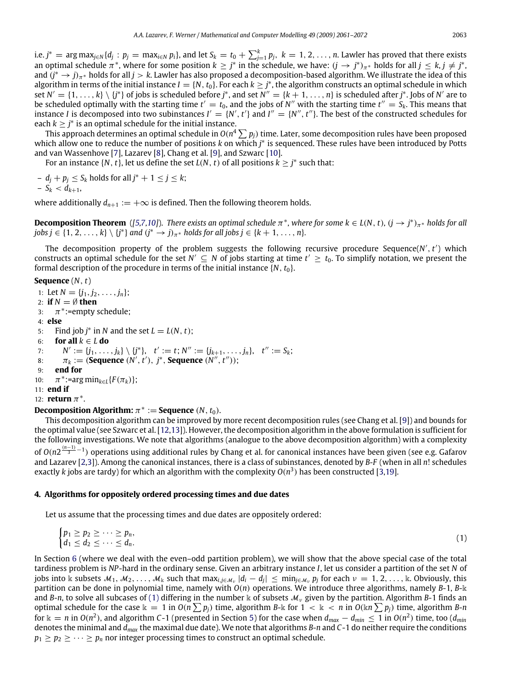i.e.  $j^* = \arg \max_{j \in N} \{d_j : p_j = \max_{i \in N} p_i\}$ , and let  $S_k = t_0 + \sum_{j=1}^k p_j$ ,  $k = 1, 2, \ldots, n$ . Lawler has proved that there exists an optimal schedule  $\pi^*$ , where for some position  $k \geq j^*$  in the schedule, we have:  $(j \to j^*)_{\pi^*}$  holds for all  $j \leq k$ ,  $j \neq j^*$ , and (*j* <sup>∗</sup> → *<sup>j</sup>*)π<sup>∗</sup> holds for all *<sup>j</sup>* > *<sup>k</sup>*. Lawler has also proposed a decomposition-based algorithm. We illustrate the idea of this algorithm in terms of the initial instance  $I = \{N, t_0\}$ . For each  $k \geq j^*$ , the algorithm constructs an optimal schedule in which set  $N' = \{1, \ldots, k\} \setminus \{j^*\}$  of jobs is scheduled before  $j^*$ , and set  $N'' = \{k+1, \ldots, n\}$  is scheduled after  $j^*$ . Jobs of  $N'$  are to be scheduled optimally with the starting time  $t' = t_0$ , and the jobs of *N''* with the starting time  $t'' = S_k$ . This means that instance *I* is decomposed into two subinstances  $I' = \{N', t'\}$  and  $I'' = \{N'', t''\}$ . The best of the constructed schedules for each  $k \geq j^*$  is an optimal schedule for the initial instance.

This approach determines an optimal schedule in  $O(n^4\sum p_j)$  time. Later, some decomposition rules have been proposed which allow one to reduce the number of positions *k* on which *j*<sup>\*</sup> is sequenced. These rules have been introduced by Potts and van Wassenhove [\[7\]](#page-11-4), Lazarev [\[8\]](#page-11-12), Chang et al. [\[9\]](#page-11-13), and Szwarc [\[10\]](#page-11-5).

For an instance  $\{N, t\}$ , let us define the set  $L(N, t)$  of all positions  $k \geq j^*$  such that:

 $- d_j + p_j \leq S_k$  holds for all  $j^* + 1 \leq j \leq k$ ;  $-S_k < d_{k+1}$ 

where additionally  $d_{n+1} := +\infty$  is defined. Then the following theorem holds.

**Decomposition Theorem** ([\[5](#page-11-2)[,7,](#page-11-4)[10\]](#page-11-5)). There exists an optimal schedule  $\pi^*$ , where for some  $k \in L(N, t)$ ,  $(j \to j^*)_{\pi^*}$  holds for all  $j$ obs  $j \in \{1, 2, \ldots, k\} \setminus \{j^*\}$  and  $(j^* \rightarrow j)_{\pi^*}$  holds for all  $j$ obs  $j \in \{k+1, \ldots, n\}$ .

The decomposition property of the problem suggests the following recursive procedure Sequence( $N', t'$ ) which constructs an optimal schedule for the set  $N' \subseteq N$  of jobs starting at time  $t' \ge t_0$ . To simplify notation, we present the formal description of the procedure in terms of the initial instance  $\{N, t_0\}$ .

#### **Sequence** (*N*, *t*)

1: Let  $N = \{j_1, j_2, \ldots, j_n\};$ 2: **if** *N* = ∅ **then** 3:  $\pi^*$ :=empty schedule; 4: **else** 5: Find job  $j^*$  in *N* and the set  $L = L(N, t)$ ; 6: **for all**  $k \in L$  **do** 7:  $N' := \{j_1, \ldots, j_k\} \setminus \{j^*\}, t' := t; N'' := \{j_{k+1}, \ldots, j_n\}, t'' := S_k;$ 8:  $\pi_k := (\text{Sequence } (N', t'), j^*, \text{Sequence } (N'', t''));$ 9: **end for**  $10:$  $* := \arg \min_{k \in L} \{ F(\pi_k) \};$ 11: **end if** 12: **return**  $\pi^*$ . **Decomposition Algorithm:**  $\pi^* :=$  **Sequence**  $(N, t_0)$ .

# This decomposition algorithm can be improved by more recent decomposition rules (see Chang et al. [\[9\]](#page-11-13)) and bounds for the optimal value (see Szwarc et al. [\[12](#page-11-14)[,13\]](#page-11-15)). However, the decomposition algorithm in the above formulation is sufficient for the following investigations. We note that algorithms (analogue to the above decomposition algorithm) with a complexity of *O*( $n2^{\frac{(n-1)}{3}-1}$ ) operations using additional rules by Chang et al. for canonical instances have been given (see e.g. Gafarov and Lazarev [\[2](#page-11-16)[,3\]](#page-11-9)). Among the canonical instances, there is a class of subinstances, denoted by *B-F* (when in all *n*! schedules exactly *k* jobs are tardy) for which an algorithm with the complexity *O*(*n* 3 ) has been constructed [\[3](#page-11-9)[,19\]](#page-11-17).

#### <span id="page-2-0"></span>**4. Algorithms for oppositely ordered processing times and due dates**

Let us assume that the processing times and due dates are oppositely ordered:

<span id="page-2-1"></span>
$$
\begin{cases} p_1 \geq p_2 \geq \cdots \geq p_n, \\ d_1 \leq d_2 \leq \cdots \leq d_n. \end{cases} \tag{1}
$$

In Section [6](#page-8-0) (where we deal with the even–odd partition problem), we will show that the above special case of the total tardiness problem is *NP*-hard in the ordinary sense. Given an arbitrary instance *I*, let us consider a partition of the set *N* of jobs into k subsets  $M_1, M_2, \ldots, M_k$  such that  $\max_{i,j\in\mathcal{M}_\mathcal{V}}|d_i-d_j|\leq \min_{j\in\mathcal{M}_\mathcal{V}}p_j$  for each  $\nu=1,2,\ldots,k.$  Obviously, this partition can be done in polynomial time, namely with *O*(*n*) operations. We introduce three algorithms, namely *B*-1, *B*-k and *B*-*n*, to solve all subcases of [\(1\)](#page-2-1) differing in the number k of subsets  $M_v$  given by the partition. Algorithm *B*-1 finds an optimal schedule for the case  $k = 1$  in  $O(n \sum p_j)$  time, algorithm *B*-k for  $1 < k < n$  in  $O(kn \sum p_j)$  time, algorithm *B*-*n* for  $k = n$  in  $O(n^2)$ , and algorithm C-1 (presented in Section [5\)](#page-7-0) for the case when  $d_{max} - d_{min} \leq 1$  in  $O(n^2)$  time, too ( $d_{min}$ denotes the minimal and *dmax* the maximal due date). We note that algorithms *B*-*n* and *C*-1 do neither require the conditions  $p_1 \geq p_2 \geq \cdots \geq p_n$  nor integer processing times to construct an optimal schedule.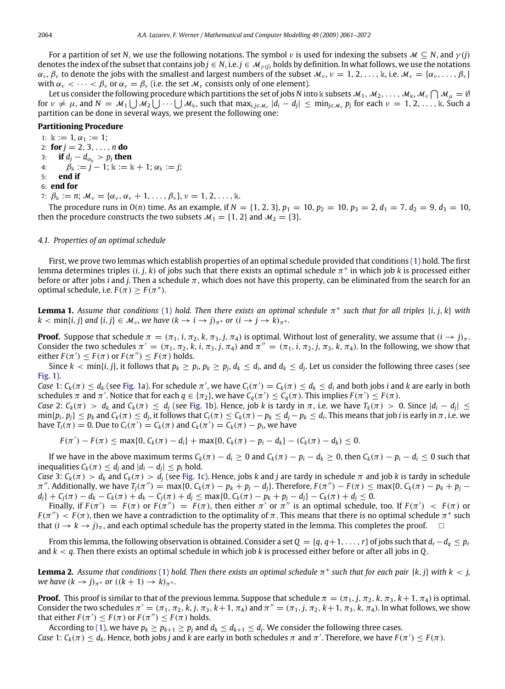For a partition of set *N*, we use the following notations. The symbol *v* is used for indexing the subsets  $M \subseteq N$ , and  $\gamma(j)$ denotes the index of the subset that contains job  $j \in N$ , i.e.  $j \in M_{\gamma(j)}$  holds by definition. In what follows, we use the notations  $\alpha_v$ ,  $\beta_v$  to denote the jobs with the smallest and largest numbers of the subset  $\mathcal{M}_v$ ,  $v = 1, 2, \ldots, k$ , i.e.  $\mathcal{M}_v = {\alpha_v, \ldots, \beta_v}$ with  $\alpha_v < \cdots < \beta_v$  or  $\alpha_v = \beta_v$  (i.e. the set  $\mathcal{M}_v$  consists only of one element).

Let us consider the following procedure which partitions the set of jobs N into k subsets  $M_1,M_2,\ldots,M_\Bbbk,$  M $_v\bigcap M_\mu=\emptyset$ for  $\nu \neq \mu$ , and  $N = \mathcal{M}_1 \bigcup \mathcal{M}_2 \bigcup \cdots \bigcup \mathcal{M}_k$ , such that  $\max_{i,j \in \mathcal{M}_\nu} |d_i - d_j| \leq \min_{j \in \mathcal{M}_\nu} p_j$  for each  $\nu = 1, 2, \ldots, k$ . Such a partition can be done in several ways, we present the following one:

#### **Partitioning Procedure**

1:  $\Bbbk := 1, \alpha_1 := 1$ ; 2: **for**  $j = 2, 3, ..., n$  **do** 3: **if**  $d_j - d_{\alpha_k} > p_j$  **then** 4:  $\beta_{\mathbb{k}} := \vec{j} - 1; \mathbb{k} := \mathbb{k} + 1; \alpha_{\mathbb{k}} := \vec{j};$ 5: **end if**

## 6: **end for**

7:  $\beta_{\mathbb{k}} := n$ ;  $\mathcal{M}_{\nu} = {\alpha_{\nu}, \alpha_{\nu} + 1, \ldots, \beta_{\nu}}$ ,  $\nu = 1, 2, \ldots, \mathbb{k}$ .

The procedure runs in  $O(n)$  time. As an example, if  $N = \{1, 2, 3\}$ ,  $p_1 = 10$ ,  $p_2 = 10$ ,  $p_3 = 2$ ,  $d_1 = 7$ ,  $d_2 = 9$ ,  $d_3 = 10$ , then the procedure constructs the two subsets  $\mathcal{M}_1 = \{1, 2\}$  and  $\mathcal{M}_2 = \{3\}.$ 

#### *4.1. Properties of an optimal schedule*

First, we prove two lemmas which establish properties of an optimal schedule provided that conditions [\(1\)](#page-2-1) hold. The first lemma determines triples (*i*, *j*, *k*) of jobs such that there exists an optimal schedule π ∗ in which job *k* is processed either before or after jobs *i* and *j*. Then a schedule  $\pi$ , which does not have this property, can be eliminated from the search for an optimal schedule, i.e.  $F(\pi) \geq F(\pi^*)$ .

<span id="page-3-0"></span>**Lemma 1.** *Assume that conditions* [\(1\)](#page-2-1) *hold. Then there exists an optimal schedule* π ∗ *such that for all triples* {*i*, *j*, *k*} *with*  $k < \min\{i, j\}$  and  $\{i, j\} \in \mathcal{M}_{\nu}$ , we have  $(k \to i \to j)_{\pi^*}$  or  $(i \to j \to k)_{\pi^*}$ .

**Proof.** Suppose that schedule  $\pi = (\pi_1, i, \pi_2, k, \pi_3, j, \pi_4)$  is optimal. Without lost of generality, we assume that  $(i \rightarrow j)_{\pi}$ . Consider the two schedules  $\pi' = (\pi_1, \pi_2, k, i, \pi_3, j, \pi_4)$  and  $\pi'' = (\pi_1, i, \pi_2, j, \pi_3, k, \pi_4)$ . In the following, we show that either  $F(\pi') \leq F(\pi)$  or  $F(\pi'') \leq F(\pi)$  holds.

Since  $k < \min\{i, j\}$ , it follows that  $p_k \ge p_i$ ,  $p_k \ge p_j$ ,  $d_k \le d_i$ , and  $d_k \le d_j$ . Let us consider the following three cases (see [Fig. 1\)](#page-4-0).

Case 1:  $C_k(\pi) \leq d_k$  (see [Fig. 1a](#page-4-0)). For schedule  $\pi'$ , we have  $C_i(\pi') = C_k(\pi) \leq d_k \leq d_i$  and both jobs *i* and *k* are early in both schedules  $\pi$  and  $\pi'$ . Notice that for each  $q \in \{\pi_2\}$ , we have  $C_q(\pi') \leq C_q(\pi)$ . This implies  $F(\pi') \leq F(\pi)$ .

Case 2:  $C_k(\pi) > d_k$  and  $C_k(\pi) \leq d_j$  (see [Fig. 1b](#page-4-0)). Hence, job k is tardy in  $\pi$ , i.e. we have  $T_k(\pi) > 0$ . Since  $|d_i - d_j| \leq$  $\min\{p_i,p_j\}\leq p_k$  and  $C_k(\pi)\leq d_j$ , it follows that  $C_i(\pi)\leq C_k(\pi)-p_k\leq d_j-p_k\leq d_i.$  This means that job  $i$  is early in  $\pi$  , i.e. we have  $T_i(\pi) = 0$ . Due to  $C_i(\pi') = C_k(\pi)$  and  $C_k(\pi') = C_k(\pi) - p_i$ , we have

$$
F(\pi') - F(\pi) \leq \max\{0, C_k(\pi) - d_i\} + \max\{0, C_k(\pi) - p_i - d_k\} - (C_k(\pi) - d_k) \leq 0.
$$

If we have in the above maximum terms  $C_k(\pi) - d_i \ge 0$  and  $C_k(\pi) - p_i - d_k \ge 0$ , then  $C_k(\pi) - p_i - d_i \le 0$  such that inequalities  $C_k(\pi) \leq d_j$  and  $|d_i - d_j| \leq p_i$  hold.

*Case* 3:  $C_k(\pi) > d_k$  and  $C_k(\pi) > d_j$  (see [Fig. 1c](#page-4-0)). Hence, jobs *k* and *j* are tardy in schedule  $\pi$  and job *k* is tardy in schedule  $\pi''$ . Additionally, we have  $T_j(\pi'') = \max\{0, C_k(\pi) - p_k + p_j - d_j\}$ . Therefore,  $F(\pi'') - F(\pi) \le \max\{0, C_k(\pi) - p_k + p_j - d_j\}$  $d_j + C_j(\pi) - d_k - C_k(\pi) + d_k - C_j(\pi) + d_j \le \max\{0, C_k(\pi) - p_k + p_j - d_j\} - C_k(\pi) + d_j \le 0.$ 

Finally, if  $F(\pi') = F(\pi)$  or  $F(\pi'') = F(\pi)$ , then either  $\pi'$  or  $\pi''$  is an optimal schedule, too. If  $F(\pi') < F(\pi)$  or  $F(\pi'') < F(\pi)$ , then we have a contradiction to the optimality of  $\pi$ . This means that there is no optimal schedule  $\pi^*$  such that  $(i \rightarrow k \rightarrow j)_{\pi}$ , and each optimal schedule has the property stated in the lemma. This completes the proof.

From this lemma, the following observation is obtained. Consider a set  $Q = \{q, q+1, \ldots, r\}$  of jobs such that  $d_r - d_q \leq p_r$ and *k* < *q*. Then there exists an optimal schedule in which job *k* is processed either before or after all jobs in *Q*.

<span id="page-3-1"></span>**Lemma 2.** Assume that conditions [\(1\)](#page-2-1) hold. Then there exists an optimal schedule  $\pi^*$  such that for each pair  $\{k, j\}$  with  $k < j$ , *we have*  $(k \rightarrow j)_{\pi^*}$  *or*  $((k+1) \rightarrow k)_{\pi^*}$ *.* 

**Proof.** This proof is similar to that of the previous lemma. Suppose that schedule  $\pi = (\pi_1, j, \pi_2, k, \pi_3, k+1, \pi_4)$  is optimal. Consider the two schedules  $\pi' = (\pi_1, \pi_2, k, j, \pi_3, k+1, \pi_4)$  and  $\pi'' = (\pi_1, j, \pi_2, k+1, \pi_3, k, \pi_4)$ . In what follows, we show that either  $F(\pi') \leq F(\pi)$  or  $F(\pi'') \leq F(\pi)$  holds.

According to [\(1\),](#page-2-1) we have  $p_k \geq p_{k+1} \geq p_j$  and  $d_k \leq d_{k+1} \leq d_j$ . We consider the following three cases. *Case* 1:  $C_k(\pi) \leq d_k$ . Hence, both jobs *j* and *k* are early in both schedules  $\pi$  and  $\pi'$ . Therefore, we have  $F(\pi') \leq F(\pi)$ .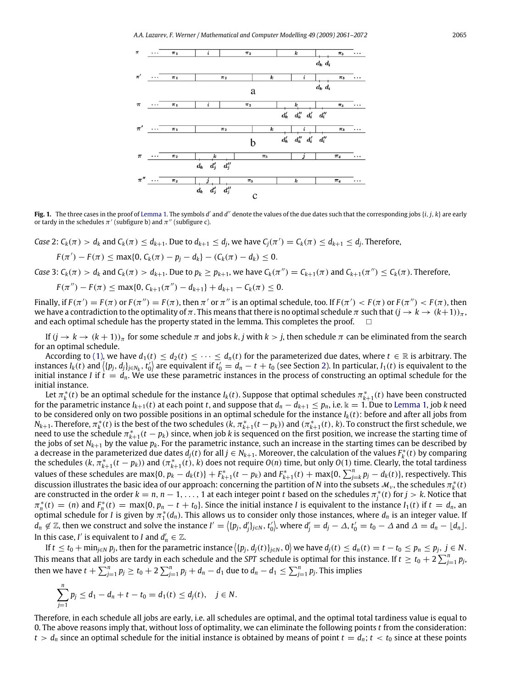*A.A. Lazarev, F. Werner / Mathematical and Computer Modelling 49 (2009) 2061–2072* 2065

<span id="page-4-0"></span>

Fig. 1. The three cases in the proof of [Lemma 1.](#page-3-0) The symbols *d'* and *d''* denote the values of the due dates such that the corresponding jobs {*i*, *j*, *k*} are early or tardy in the schedules  $\pi'$  (subfigure b) and  $\pi''$  (subfigure c).

Case 2:  $C_k(\pi) > d_k$  and  $C_k(\pi) \leq d_{k+1}$ . Due to  $d_{k+1} \leq d_j$ , we have  $C_j(\pi') = C_k(\pi) \leq d_{k+1} \leq d_j$ . Therefore,

$$
F(\pi') - F(\pi) \leq \max\{0, C_k(\pi) - p_j - d_k\} - (C_k(\pi) - d_k) \leq 0.
$$

Case 3:  $C_k(\pi) > d_k$  and  $C_k(\pi) > d_{k+1}$ . Due to  $p_k \geq p_{k+1}$ , we have  $C_k(\pi'') = C_{k+1}(\pi)$  and  $C_{k+1}(\pi'') \leq C_k(\pi)$ . Therefore,

$$
F(\pi'') - F(\pi) \leq \max\{0, C_{k+1}(\pi'') - d_{k+1}\} + d_{k+1} - C_k(\pi) \leq 0.
$$

Finally, if  $F(\pi') = F(\pi)$  or  $F(\pi'') = F(\pi)$ , then  $\pi'$  or  $\pi''$  is an optimal schedule, too. If  $F(\pi') < F(\pi)$  or  $F(\pi'') < F(\pi)$ , then we have a contradiction to the optimality of  $\pi$ . This means that there is no optimal schedule  $\pi$  such that  $(j \to k \to (k+1))_{\pi}$ , and each optimal schedule has the property stated in the lemma. This completes the proof.  $\square$ 

If  $(j \to k \to (k+1))$ <sub>π</sub> for some schedule π and jobs *k*, *j* with  $k > j$ , then schedule π can be eliminated from the search for an optimal schedule.

According to [\(1\),](#page-2-1) we have  $d_1(t) \leq d_2(t) \leq \cdots \leq d_n(t)$  for the parameterized due dates, where  $t \in \mathbb{R}$  is arbitrary. The instances  $I_k(t)$  and  $\langle \{p_j,d_j\}_{j\in N_k},t'_0\rangle$  are equivalent if  $t'_0=d_n-t+t_0$  (see Section [2\)](#page-1-0). In particular,  $I_1(t)$  is equivalent to the initial instance *I* if  $t = d_n$ . We use these parametric instances in the process of constructing an optimal schedule for the initial instance.

Let  $\pi^*_k(t)$  be an optimal schedule for the instance  $I_k(t)$ . Suppose that optimal schedules  $\pi^*_{k+1}(t)$  have been constructed for the parametric instance  $I_{k+1}(t)$  at each point *t*, and suppose that  $d_n - d_{k+1} \leq p_n$ , i.e.  $k = 1$ . Due to [Lemma 1,](#page-3-0) job *k* need to be considered only on two possible positions in an optimal schedule for the instance  $I_k(t)$ : before and after all jobs from *N*<sub>k+1</sub>. Therefore,  $\pi_k^*(t)$  is the best of the two schedules ( $k$ ,  $\pi_{k+1}^*(t-p_k)$ ) and ( $\pi_{k+1}^*(t)$ ,  $k$ ). To construct the first schedule, we *need to use the schedule*  $\pi_{k+1}^*(t-p_k)$  since, when job *k* is sequenced on the first position, we increase the starting time of the jobs of set  $N_{k+1}$  by the value  $p_k$ . For the parametric instance, such an increase in the starting times can be described by a decrease in the parameterized due dates  $d_j(t)$  for all  $j \in N_{k+1}$ . Moreover, the calculation of the values  $F_k^*(t)$  by comparing the schedules  $(k, \pi^*_{k+1}(t-p_k))$  and  $(\pi^*_{k+1}(t), k)$  does not require  $O(n)$  time, but only  $O(1)$  time. Clearly, the total tardiness values of these schedules are max{0,  $p_k - d_k(t)$ } +  $F_{k+1}^*(t-p_k)$  and  $F_{k+1}^*(t)$  + max{0,  $\sum_{j=k}^n p_j - d_k(t)$ }, respectively. This discussion illustrates the basic idea of our approach: concerning the partition of *N* into the subsets  $M_v$ , the schedules  $\pi_k^*(t)$ are constructed in the order  $k = n, n - 1, \ldots, 1$  at each integer point *t* based on the schedules  $\pi_j^*(t)$  for  $j > k$ . Notice that  $\pi_n^*(t) = (n)$  and  $F_n^*(t) = \max\{0, p_n - t + t_0\}$ . Since the initial instance I is equivalent to the instance  $I_1(t)$  if  $t = d_n$ , an optimal schedule for *I* is given by  $\pi_1^*(d_n)$ . This allows us to consider only those instances, where  $d_n$  is an integer value. If  $d_n \not\in \mathbb{Z}$ , then we construct and solve the instance  $I'=\langle \{p_j, d'_j\}_{j\in N}, t'_0\rangle$ , where  $d'_j=d_j-\Delta$ ,  $t'_0=t_0-\Delta$  and  $\Delta=d_n-\lfloor d_n\rfloor$ . In this case, *I'* is equivalent to *I* and  $d'_n \in \mathbb{Z}$ .

If  $t \le t_0 + \min_{j \in N} p_j$ , then for the parametric instance  $\langle \{p_j, d_j(t)\}_{j \in N}, 0 \rangle$  we have  $d_j(t) \le d_n(t) = t - t_0 \le p_n \le p_j$ ,  $j \in N$ . This means that all jobs are tardy in each schedule and the SPT schedule is optimal for this instance. If  $t\geq t_0+2\sum_{j=1}^np_j$ , then we have  $t+\sum_{j=1}^n p_j\geq t_0+2\sum_{j=1}^n p_j+d_n-d_1$  due to  $d_n-d_1\leq\sum_{j=1}^n p_j.$  This implies

$$
\sum_{j=1}^n p_j \leq d_1 - d_n + t - t_0 = d_1(t) \leq d_j(t), \quad j \in N.
$$

Therefore, in each schedule all jobs are early, i.e. all schedules are optimal, and the optimal total tardiness value is equal to 0. The above reasons imply that, without loss of optimality, we can eliminate the following points *t* from the consideration:  $t > d_n$  since an optimal schedule for the initial instance is obtained by means of point  $t = d_n$ ;  $t < t_0$  since at these points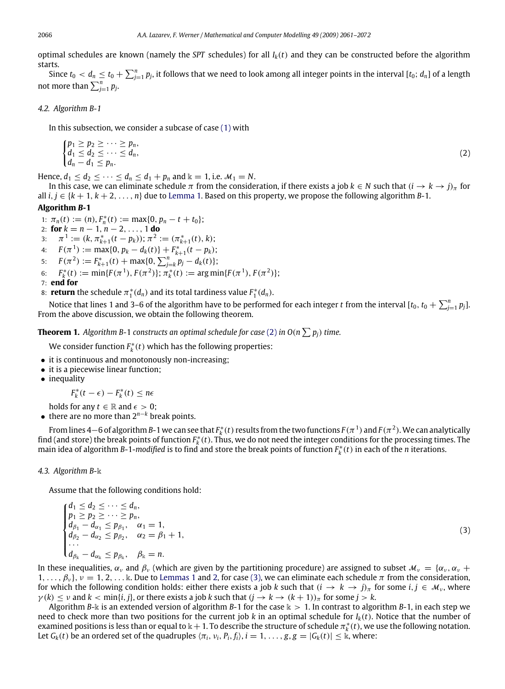optimal schedules are known (namely the *SPT* schedules) for all *Ik*(*t*) and they can be constructed before the algorithm starts.

Since  $t_0 < d_n \leq t_0 + \sum_{j=1}^n p_j$ , it follows that we need to look among all integer points in the interval [ $t_0$ ;  $d_n$ ] of a length not more than  $\sum_{j=1}^{n} p_j$ .

#### *4.2. Algorithm B-1*

In this subsection, we consider a subcase of case [\(1\)](#page-2-1) with

<span id="page-5-0"></span>
$$
\begin{cases} p_1 \ge p_2 \ge \cdots \ge p_n, \\ d_1 \le d_2 \le \cdots \le d_n, \\ d_n - d_1 \le p_n. \end{cases} \tag{2}
$$

Hence,  $d_1 \leq d_2 \leq \cdots \leq d_n \leq d_1 + p_n$  and  $k = 1$ , i.e.  $\mathcal{M}_1 = N$ .

In this case, we can eliminate schedule  $\pi$  from the consideration, if there exists a job  $k \in N$  such that  $(i \to k \to j)_{\pi}$  for all *i*, *j* ∈ {*k* + 1, *k* + 2, . . . , *n*} due to [Lemma 1.](#page-3-0) Based on this property, we propose the following algorithm *B*-1.

## **Algorithm** *B***-1**

1:  $\pi_n(t) := (n), F_n^*(t) := \max\{0, p_n - t + t_0\};$ 

2: **for**  $k = n - 1, n - 2, ..., 1$  **do** 

- 3:  $\pi^1 := (k, \pi^*_{k+1}(t p_k)); \pi^2 := (\pi^*_{k+1}(t), k);$
- 4:  $F(\pi^1) := \max\{0, p_k d_k(t)\} + F_{k+1}^*(t p_k);$
- 5:  $F(\pi^2) := F_{k+1}^*(t) + \max\{0, \sum_{j=k}^n p_j d_k(t)\};$
- 6:  $F_k^*(t) := \min\{F(\pi^1), F(\pi^2)\}; \pi_k^*(t) := \arg \min\{F(\pi^1), F(\pi^2)\};$
- 7: **end for**
- 8: **return** the schedule  $\pi_1^*(d_n)$  and its total tardiness value  $F_1^*(d_n)$ .

Notice that lines 1 and 3–6 of the algorithm have to be performed for each integer  $t$  from the interval [ $t_0, t_0+\sum_{j=1}^np_j$ ]. From the above discussion, we obtain the following theorem.

**Theorem 1.** Algorithm B-1 constructs an optimal schedule for case [\(2\)](#page-5-0) in O(n  $\sum p_j$ ) time.

We consider function  $F_k^*(t)$  which has the following properties:

- it is continuous and monotonously non-increasing;
- it is a piecewise linear function;
- inequality

 $F_k^*(t - \epsilon) - F_k^*(t) \leq n\epsilon$ 

holds for any  $t \in \mathbb{R}$  and  $\epsilon > 0$ ;

• there are no more than 2*<sup>n</sup>*−*<sup>k</sup>* break points.

From lines 4 $-$ 6 of algorithm *B*-1 we can see that  $F_k^*(t)$  results from the two functions  $F(\pi^1)$  and  $F(\pi^2)$ . We can analytically find (and store) the break points of function  $F_k^*(t)$ . Thus, we do not need the integer conditions for the processing times. The main idea of algorithm *B*-1-*modified* is to find and store the break points of function  $F_k^*(t)$  in each of the *n* iterations.

#### *4.3. Algorithm B-*k

Assume that the following conditions hold:

<span id="page-5-1"></span>
$$
\begin{cases}\nd_1 \leq d_2 \leq \cdots \leq d_n, \\
p_1 \geq p_2 \geq \cdots \geq p_n, \\
d_{\beta_1} - d_{\alpha_1} \leq p_{\beta_1}, \quad \alpha_1 = 1, \\
d_{\beta_2} - d_{\alpha_2} \leq p_{\beta_2}, \quad \alpha_2 = \beta_1 + 1, \\
\dots \\
d_{\beta_k} - d_{\alpha_k} \leq p_{\beta_k}, \quad \beta_k = n.\n\end{cases} \tag{3}
$$

In these inequalities,  $\alpha_v$  and  $\beta_v$  (which are given by the partitioning procedure) are assigned to subset  $\mathcal{M}_v = \{\alpha_v, \alpha_v + \alpha_v\}$  $1,\ldots,\beta_\nu$ ,  $\nu=1,2,\ldots$  $\nu=1,2,\ldots$  $\nu=1,2,\ldots$  k. Due to [Lemmas 1](#page-3-0) and 2, for case [\(3\),](#page-5-1) we can eliminate each schedule  $\pi$  from the consideration, for which the following condition holds: either there exists a job *k* such that  $(i \to k \to j)$ <sub>*n*</sub> for some  $i, j \in \mathcal{M}_v$ , where  $\gamma(k) \leq \nu$  and  $k < \min\{i, j\}$ , or there exists a job  $k$  such that  $(j \to k \to (k + 1))_{\pi}$  for some  $j > k$ .

Algorithm *B*-k is an extended version of algorithm *B*-1 for the case  $k > 1$ . In contrast to algorithm *B*-1, in each step we need to check more than two positions for the current job  $k$  in an optimal schedule for  $I_k(t)$ . Notice that the number of examined positions is less than or equal to  $\Bbbk+1$ . To describe the structure of schedule  $\pi^*_k(t)$ , we use the following notation. Let  $G_k(t)$  be an ordered set of the quadruples  $\langle \pi_i, v_i, P_i, f_i \rangle$ ,  $i = 1, \ldots, g, g = |G_k(t)| \leq \mathbb{k}$ , where: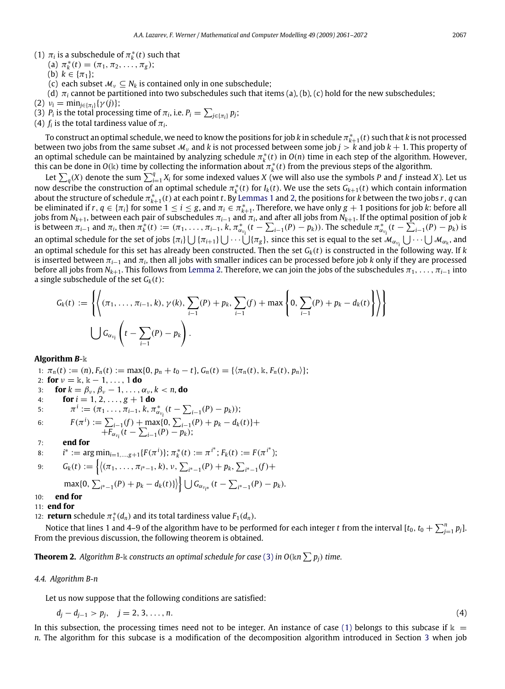- (1)  $\pi_i$  is a subschedule of  $\pi_k^*(t)$  such that
	- (a)  $\pi_k^*(t) = (\pi_1, \pi_2, \ldots, \pi_g);$
	- (b)  $k \in {\pi_1};$
	- (c) each subset  $M_v \nightharpoonup N_k$  is contained only in one subschedule;
	- (d) π*<sup>i</sup>* cannot be partitioned into two subschedules such that items (a), (b), (c) hold for the new subschedules;
- (2)  $v_i = \min_{j \in {\{\pi_i\}}} {\{\gamma(j)\}};$
- (3) *P<sub>i</sub>* is the total processing time of  $\pi_i$ , i.e.  $P_i = \sum_{j \in {\{\pi_i\}}} p_j$ ;
- (4)  $f_i$  is the total tardiness value of  $\pi_i$ .

To construct an optimal schedule, we need to know the positions for job  $k$  in schedule  $\pi^*_{k+1}(t)$  such that  $k$  is not processed between two jobs from the same subset  $M_v$  and k is not processed between some job  $j > k$  and job  $k + 1$ . This property of an optimal schedule can be maintained by analyzing schedule  $\pi_k^*(t)$  in  $O(n)$  time in each step of the algorithm. However, this can be done in  $O(k)$  time by collecting the information about  $\pi_k^*(t)$  from the previous steps of the algorithm.

Let  $\sum_q(X)$  denote the sum  $\sum_{i=1}^qX_i$  for some indexed values *X* (we will also use the symbols *P* and *f* instead *X*). Let us now describe the construction of an optimal schedule  $\pi_k^*(t)$  for  $I_k(t)$ . We use the sets  $G_{k+1}(t)$  which contain information about the structure of schedule  $\pi_{k+1}^*(t)$  at each point *t*. By [Lemmas 1](#page-3-0) and [2,](#page-3-1) the positions for *k* between the two jobs *r*, *q* can be eliminated if  $r, q \in \{\pi_i\}$  for some  $1 \leq i \leq g$ , and  $\pi_i \in \pi_{k+1}^*$ . Therefore, we have only  $g + 1$  positions for job *k*: before all jobs from  $N_{k+1}$ , between each pair of subschedules  $\pi_{i-1}$  and  $\pi_i$ , and after all jobs from  $N_{k+1}.$  If the optimal position of job  $k$ is between  $\pi_{i-1}$  and  $\pi_i$ , then  $\pi_k^*(t) := (\pi_1, \dots, \pi_{i-1}, k, \pi_{\alpha_{\nu_i}}^*(t - \sum_{i-1}(P) - p_k))$ . The schedule  $\pi_{\alpha_{\nu_i}}^*(t - \sum_{i-1}(P) - p_k)$  is an optimal schedule for the set of jobs  $\{\pi_i\}\bigcup \{\pi_{i+1}\}\bigcup \cdots \bigcup \{\pi_g\}$ , since this set is equal to the set  $\mathcal{M}_{\alpha_{V_i}}\bigcup \cdots \bigcup \mathcal{M}_{\alpha_k}$ , and an optimal schedule for this set has already been constructed. Then the set *Gk*(*t*) is constructed in the following way. If *k* is inserted between π*i*−<sup>1</sup> and π*<sup>i</sup>* , then all jobs with smaller indices can be processed before job *k* only if they are processed before all jobs from *N*<sub>*k*+1</sub>. This follows from [Lemma 2.](#page-3-1) Therefore, we can join the jobs of the subschedules  $\pi_1, \ldots, \pi_{i-1}$  into a single subschedule of the set  $G_k(t)$ :

$$
G_k(t) := \left\{ \left\{ (\pi_1, \dots, \pi_{i-1}, k), \gamma(k), \sum_{i-1} (P) + p_k, \sum_{i-1} (f) + \max \left\{ 0, \sum_{i-1} (P) + p_k - d_k(t) \right\} \right\} \right\}
$$
  

$$
\bigcup G_{\alpha_{\nu_i}} \left( t - \sum_{i-1} (P) - p_k \right).
$$

#### **Algorithm** *B*-k

1:  $\pi_n(t) := (n)$ ,  $F_n(t) := \max\{0, p_n + t_0 - t\}$ ,  $G_n(t) = \{\langle \pi_n(t), k, F_n(t), p_n \rangle\};$ 2: **for**  $\nu = \mathbb{k}, \mathbb{k} - 1, \ldots, 1$  **do** 3: **for**  $k = \beta_v$ ,  $\beta_v - 1$ , ...,  $\alpha_v$ ,  $k < n$ , **do** 4: **for**  $i = 1, 2, ..., g + 1$  **do** 5:  $\pi^i := (\pi_1 \dots, \pi_{i-1}, k, \pi^*_{\alpha_{v_i}}(t - \sum_{i-1}(P) - p_k));$ 6:  $F(\pi^i) := \sum_{i=1}^i (f) + \max\{0, \sum_{i=1}^i (P) + p_k - d_k(t)\} +$  $+\overline{F}_{\alpha_{\nu_i}}(t-\sum_{i=1}(P)-p_k);$ 7: **end for** 8:  $i^* := \arg \min_{i=1,\dots,g+1} \{F(\pi^i)\}; \pi^*_k(t) := \pi^{i^*}; F_k(t) := F(\pi^{i^*});$ 9:  $G_k(t) := \left\{ \left| (\pi_1, \ldots, \pi_{i^*-1}, k), \nu, \sum_{i^*-1} (P) + p_k, \sum_{i^*-1} (f) + \right| \right\}$  $\max\{0, \sum_{i^* - 1}(P) + p_k - d_k(t)\}\right\} \bigcup G_{\alpha_{v_{i^*}}} (t - \sum_{i^* - 1}(P) - p_k).$ 10: **end for** 11: **end for**

12: **return** schedule  $\pi_1^*(d_n)$  and its total tardiness value  $F_1(d_n)$ .

Notice that lines 1 and 4–9 of the algorithm have to be performed for each integer *t* from the interval [ $t_0$ ,  $t_0+\sum_{j=1}^np_j$ ]. From the previous discussion, the following theorem is obtained.

**Theorem 2.** Algorithm B- $\Bbbk$  constructs an optimal schedule for case [\(3\)](#page-5-1) in O( $\Bbbk$ n  $\sum p_j$ ) time.

#### *4.4. Algorithm B-n*

Let us now suppose that the following conditions are satisfied:

$$
d_j - d_{j-1} > p_j, \quad j = 2, 3, \dots, n. \tag{4}
$$

<span id="page-6-0"></span>

In this subsection, the processing times need not to be integer. An instance of case [\(1\)](#page-2-1) belongs to this subcase if  $\mathbb{k}$  = *n*. The algorithm for this subcase is a modification of the decomposition algorithm introduced in Section [3](#page-1-1) when job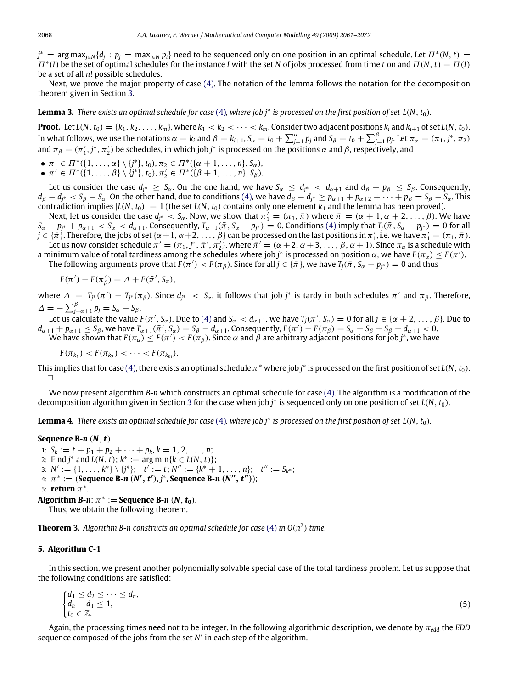$j^*$  = arg max<sub>j∈</sub><sub>N</sub> { $d_j$  :  $p_j$  = max<sub>i∈N</sub>  $p_i$ } need to be sequenced only on one position in an optimal schedule. Let  $\Pi^*(N, t)$  =  $\Pi^*(I)$  be the set of optimal schedules for the instance *I* with the set *N* of jobs processed from time *t* on and  $\Pi(N, t) = \Pi(I)$ be a set of all *n*! possible schedules.

Next, we prove the major property of case [\(4\).](#page-6-0) The notation of the lemma follows the notation for the decomposition theorem given in Section [3.](#page-1-1)

**Lemma 3.** *There exists an optimal schedule for case* [\(4\)](#page-6-0)*, where job j*<sup>∗</sup> *is processed on the first position of set L*(*N*, *t*0)*.*

**Proof.** Let  $L(N, t_0) = \{k_1, k_2, \ldots, k_m\}$ , where  $k_1 < k_2 < \cdots < k_m$ . Consider two adjacent positions  $k_i$  and  $k_{i+1}$  of set  $L(N, t_0)$ . In what follows, we use the notations  $\alpha=k_i$  and  $\beta=k_{i+1}$ ,  $S_\alpha=t_0+\sum_{j=1}^\alpha p_j$  and  $S_\beta=t_0+\sum_{j=1}^\beta p_j$ . Let  $\pi_\alpha=(\pi_1,j^*,\pi_2)$ and  $\pi_\beta = (\pi'_1, j^*, \pi'_2)$  be schedules, in which job  $j^*$  is processed on the positions  $\alpha$  and  $\beta$ , respectively, and

- $\pi_1$  ∈  $\Pi^*({1, ..., α} \setminus {j^*}, t_0), \pi_2$  ∈  $\Pi^*({α + 1, ..., n}, S_α)$ ,
- $\bullet$   $\pi_1'$  ∈  $\Pi^*(\{1,\ldots,\beta\} \setminus \{j^*\}, t_0), \pi_2' \in \Pi^*(\{\beta+1,\ldots,n\}, S_\beta).$

Let us consider the case  $d_{j^*} \geq S_\alpha$ . On the one hand, we have  $S_\alpha \leq d_{j^*} < d_{\alpha+1}$  and  $d_\beta + p_\beta \leq S_\beta$ . Consequently,  $d_{\beta} - d_{j^*} < S_{\beta} - S_{\alpha}$ . On the other hand, due to conditions [\(4\),](#page-6-0) we have  $d_{\beta} - d_{j^*} \ge p_{\alpha+1} + p_{\alpha+2} + \cdots + p_{\beta} = S_{\beta} - S_{\alpha}$ . This contradiction implies  $|L(N, t_0)| = 1$  (the set  $L(N, t_0)$  contains only one element  $k_1$  and the lemma has been proved).

Next, let us consider the case  $d_{j^*} < S_\alpha$ . Now, we show that  $\pi_1' = (\pi_1, \bar{\pi})$  where  $\bar{\pi} = (\alpha + 1, \alpha + 2, \ldots, \beta)$ . We have  $S_{\alpha}-p_{j^*}+p_{\alpha+1} < S_{\alpha} < d_{\alpha+1}$ . Consequently,  $T_{\alpha+1}(\bar{\pi},S_{\alpha}-p_{j^*})=0$ . Conditions [\(4\)](#page-6-0) imply that  $T_j(\bar{\pi},S_{\alpha}-p_{j^*})=0$  for all  $j\in\{\pi\}.$  Therefore, the jobs of set  $\{\alpha+1,\alpha+2,\ldots,\beta\}$  can be processed on the last positions in  $\pi_1'$ , i.e. we have  $\pi_1'=(\pi_1,\bar{\pi}).$ Let us now consider schedule  $\pi'=(\pi_1,j^*,\bar{\pi}',\pi'_2)$ , where  $\bar{\pi}'=(\alpha+2,\alpha+3,\ldots,\beta,\alpha+1)$ . Since  $\pi_\alpha$  is a schedule with

a minimum value of total tardiness among the schedules where job  $j^*$  is processed on position  $\alpha$ , we have  $F(\pi_\alpha)\leq F(\pi').$ The following arguments prove that  $F(\pi') < F(\pi_\beta)$ . Since for all  $j \in \{\bar{\pi}\}$ , we have  $T_j(\bar{\pi},S_\alpha-p_{j^*})=0$  and thus

$$
F(\pi') - F(\pi'_{\beta}) = \Delta + F(\bar{\pi}', S_{\alpha}),
$$

where  $\Delta = T_{j^*}(\pi') - T_{j^*}(\pi_\beta)$ . Since  $d_{j^*} < S_\alpha$ , it follows that job  $j^*$  is tardy in both schedules  $\pi'$  and  $\pi_\beta$ . Therefore,  $\Delta = -\sum_{j=\alpha+1}^{\beta} p_j = S_{\alpha} - S_{\beta}.$ 

Let us calculate the value  $F(\bar{\pi}', S_\alpha)$ . Due to [\(4\)](#page-6-0) and  $S_\alpha < d_{\alpha+1}$ , we have  $T_j(\bar{\pi}', S_\alpha) = 0$  for all  $j \in \{\alpha+2, \dots, \beta\}$ . Due to  $d_{\alpha+1} + p_{\alpha+1} \leq S_{\beta}$ , we have  $T_{\alpha+1}(\pi', S_{\alpha}) = S_{\beta} - d_{\alpha+1}$ . Consequently,  $F(\pi') - F(\pi_{\beta}) = S_{\alpha} - S_{\beta} + S_{\beta} - d_{\alpha+1} < 0$ .

We have shown that  $F(\pi_\alpha)\leq F(\pi')< F(\pi_\beta).$  Since  $\alpha$  and  $\beta$  are arbitrary adjacent positions for job  $j^*$ , we have

$$
F(\pi_{k_1}) < F(\pi_{k_2}) < \cdots < F(\pi_{k_m}).
$$

This implies that for case [\(4\),](#page-6-0) there exists an optimal schedule  $\pi^*$  where job  $j^*$  is processed on the first position of set  $L(N, t_0)$ .  $\Box$ 

We now present algorithm *B*-*n* which constructs an optimal schedule for case [\(4\).](#page-6-0) The algorithm is a modification of the decomposition algorithm given in Section [3](#page-1-1) for the case when job *j* ∗ is sequenced only on one position of set *L*(*N*, *t*0).

**Lemma 4.** *There exists an optimal schedule for case* [\(4\)](#page-6-0)*, where job j*<sup>∗</sup> *is processed on the first position of set L*(*N*, *t*0)*.*

#### **Sequence B**-*n* (*N*,*t*)

1:  $S_k := t + p_1 + p_2 + \cdots + p_k, k = 1, 2, \ldots, n;$ 2: Find  $j^*$  and  $L(N, t)$ ;  $k^* := \arg \min \{ k \in L(N, t) \}$ ; 3:  $N' := \{1, \ldots, k^*\} \setminus \{j^*\};$   $t' := t; N'' := \{k^* + 1, \ldots, n\};$   $t'' := S_{k^*};$ 4:  $π$ <sup>\*</sup> := (**Sequence B-***n* **(***N'***,** *t'***),** *j***<sup>\*</sup>, <b>Sequence B-***n* **(***N''***,** *t''***));** 5: **return**  $\pi^*$ . **Algorithm** *B***-***n***:**  $\pi^*$  **:= Sequence** *B***-***n* **(***N***,** *t***<sub>0</sub>).** 

Thus, we obtain the following theorem.

**Theorem 3.** Algorithm B-n constructs an optimal schedule for case [\(4\)](#page-6-0) in  $O(n^2)$  time.

#### <span id="page-7-0"></span>**5. Algorithm C-1**

In this section, we present another polynomially solvable special case of the total tardiness problem. Let us suppose that the following conditions are satisfied:

<span id="page-7-1"></span>
$$
\begin{cases} d_1 \leq d_2 \leq \cdots \leq d_n, \\ d_n - d_1 \leq 1, \\ t_0 \in \mathbb{Z}. \end{cases} \tag{5}
$$

Again, the processing times need not to be integer. In the following algorithmic description, we denote by  $\pi_{edd}$  the *EDD* sequence composed of the jobs from the set N' in each step of the algorithm.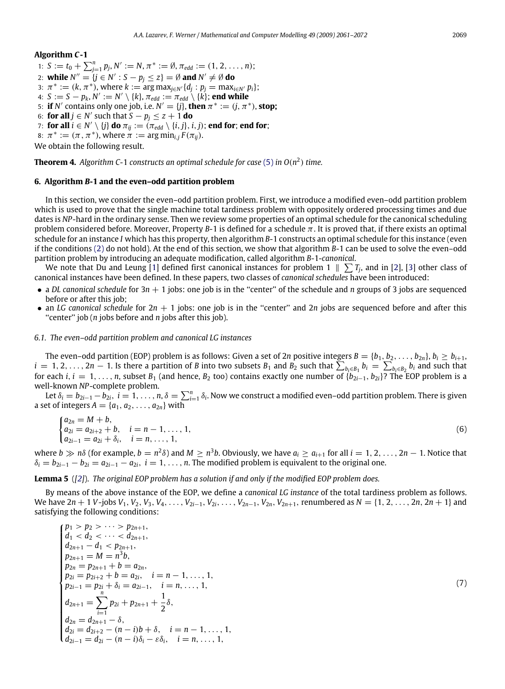#### **Algorithm** *C***-1**

1:  $S := t_0 + \sum_{j=1}^n p_j, N' := N, \pi^* := \emptyset, \pi_{edd} := (1, 2, \dots, n);$ 2: **while**  $N'' = \{j \in N' : S - p_j \le z\} = \emptyset$  and  $N' \ne \emptyset$  do 3:  $\pi^* := (k, \pi^*)$ , where  $k := \arg \max_{j \in N'} \{d_j : p_j = \max_{i \in N'} p_i\};$ 4:  $S := S - p_k$ ,  $N' := N' \setminus \{k\}$ ,  $\pi_{edd} := \pi_{edd} \setminus \{k\}$ ; **end while** 5: **if** *N'* contains only one job, i.e.  $N' = \{j\}$ , then  $\pi^* := (j, \pi^*)$ , stop; 6: **for all**  $j \in N'$  such that  $S - p_j \leq z + 1$  **do** 7: **for all**  $i \in N' \setminus \{j\}$  do  $\pi_{ij} := (\pi_{edd} \setminus \{i, j\}, i, j)$ ; **end for**; **end for**; 8:  $\pi^* := (\pi, \pi^*)$ , where  $\pi := \arg \min_{i,j} F(\pi_{ij})$ .

We obtain the following result.

**Theorem 4.** *Algorithm C-*1 *constructs an optimal schedule for case* [\(5\)](#page-7-1) *in O*(*n* 2 ) *time.*

#### <span id="page-8-0"></span>**6. Algorithm** *B***-1 and the even–odd partition problem**

In this section, we consider the even–odd partition problem. First, we introduce a modified even–odd partition problem which is used to prove that the single machine total tardiness problem with oppositely ordered processing times and due dates is *NP*-hard in the ordinary sense. Then we review some properties of an optimal schedule for the canonical scheduling problem considered before. Moreover, Property *B*-1 is defined for a schedule  $\pi$ . It is proved that, if there exists an optimal schedule for an instance *I* which has this property, then algorithm *B*-1 constructs an optimal schedule for this instance (even if the conditions [\(2\)](#page-5-0) do not hold). At the end of this section, we show that algorithm *B*-1 can be used to solve the even–odd partition problem by introducing an adequate modification, called algorithm *B*-1-*canonical*.

We note that Du and Leung [\[1\]](#page-11-0) defined first canonical instances for problem 1  $\parallel \sum T_j$ , and in [\[2\]](#page-11-16), [\[3\]](#page-11-9) other class of canonical instances have been defined. In these papers, two classes of *canonical schedules* have been introduced:

- a *DL canonical schedule* for 3*n* + 1 jobs: one job is in the "center" of the schedule and *n* groups of 3 jobs are sequenced before or after this job;
- an *LG canonical schedule* for  $2n + 1$  jobs: one job is in the "center" and  $2n$  jobs are sequenced before and after this "center" job (*n* jobs before and *n* jobs after this job).

#### *6.1. The even–odd partition problem and canonical LG instances*

The even–odd partition (EOP) problem is as follows: Given a set of 2*n* positive integers  $B = \{b_1, b_2, \ldots, b_{2n}\}, b_i \geq b_{i+1}$ ,  $i=1,2,\ldots,2n-1$ . Is there a partition of B into two subsets  $B_1$  and  $B_2$  such that  $\sum_{b_i\in B_1}b_i=\sum_{b_i\in B_2}b_i$  and such that for each *i*,  $i = 1, \ldots, n$ , subset  $B_1$  (and hence,  $B_2$  too) contains exactly one number of  $\{b_{2i-1}, b_{2i}\}$ ? The EOP problem is a well-known *NP*-complete problem.

Let  $\delta_i=b_{2i-1}-b_{2i}$ ,  $i=1,\ldots,n$ ,  $\delta=\sum_{i=1}^n\delta_i$ . Now we construct a modified even–odd partition problem. There is given a set of integers  $A = \{a_1, a_2, \ldots, a_{2n}\}\$  with

$$
\begin{cases}\na_{2n} = M + b, \\
a_{2i} = a_{2i+2} + b, \quad i = n - 1, ..., 1, \\
a_{2i-1} = a_{2i} + \delta_i, \quad i = n, ..., 1,\n\end{cases}
$$
\n(6)

where  $b\gg n\delta$  (for example,  $b=n^2\delta$ ) and  $M\geq n^3b$ . Obviously, we have  $a_i\geq a_{i+1}$  for all  $i=1,2,\ldots,2n-1$ . Notice that  $\delta_i = b_{2i-1} - b_{2i} = a_{2i-1} - a_{2i}$ ,  $i = 1, \ldots, n$ . The modified problem is equivalent to the original one.

#### **Lemma 5** (*[\[2\]](#page-11-16)*). *The original EOP problem has a solution if and only if the modified EOP problem does.*

By means of the above instance of the EOP, we define a *canonical LG instance* of the total tardiness problem as follows. We have  $2n + 1$  V-jobs  $V_1, V_2, V_3, V_4, \ldots, V_{2i-1}, V_{2i}, \ldots, V_{2n-1}, V_{2n}, V_{2n+1}$ , renumbered as  $N = \{1, 2, \ldots, 2n, 2n+1\}$  and satisfying the following conditions:

$$
p_1 > p_2 > \cdots > p_{2n+1},
$$
  
\n
$$
d_1 < d_2 < \cdots < d_{2n+1},
$$
  
\n
$$
d_{2n+1} - d_1 < p_{2n+1},
$$
  
\n
$$
p_{2n+1} = M = n^3 b,
$$
  
\n
$$
p_{2n} = p_{2n+1} + b = a_{2n},
$$
  
\n
$$
p_{2i} = p_{2i+2} + b = a_{2i}, \quad i = n-1, ..., 1,
$$
  
\n
$$
p_{2i-1} = p_{2i} + \delta_i = a_{2i-1}, \quad i = n, ..., 1,
$$
  
\n
$$
d_{2n+1} = \sum_{i=1}^{n} p_{2i} + p_{2n+1} + \frac{1}{2} \delta,
$$
  
\n
$$
d_{2n} = d_{2n+1} - \delta,
$$
  
\n
$$
d_{2i} = d_{2i+2} - (n-i)b + \delta, \quad i = n-1, ..., 1,
$$
  
\n
$$
d_{2i-1} = d_{2i} - (n-i)\delta_i - \varepsilon \delta_i, \quad i = n, ..., 1,
$$

<span id="page-8-1"></span>(7)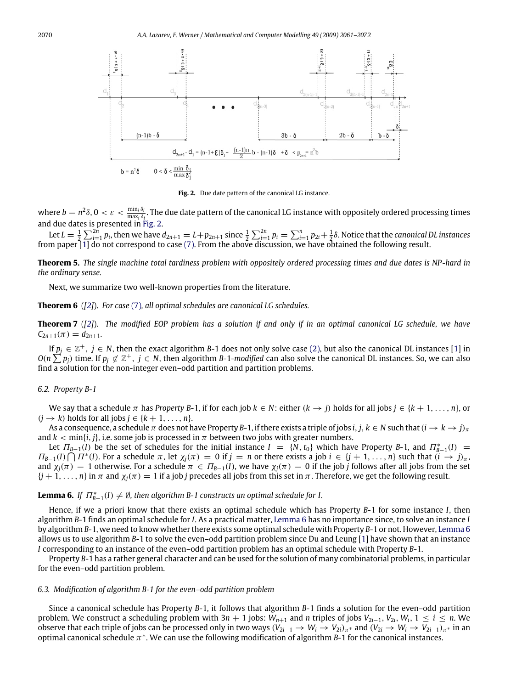<span id="page-9-0"></span>2070 *A.A. Lazarev, F. Werner / Mathematical and Computer Modelling 49 (2009) 2061–2072*



**Fig. 2.** Due date pattern of the canonical LG instance.

where  $b=n^2\delta$ ,  $0<\varepsilon<\frac{\min_i\delta_i}{\max_i\delta_i}$ . The due date pattern of the canonical LG instance with oppositely ordered processing times and due dates is presented in [Fig. 2.](#page-9-0)

Let  $L = \frac{1}{2} \sum_{i=1}^{2n} p_i$ , then we have  $d_{2n+1} = L + p_{2n+1}$  since  $\frac{1}{2} \sum_{i=1}^{2n} p_i = \sum_{i=1}^{n} p_{2i} + \frac{1}{2} \delta$ . Notice that the canonical DL instances from paper [\[1\]](#page-11-0) do not correspond to case [\(7\).](#page-8-1) From the above discussion, we have obtained the following result.

**Theorem 5.** *The single machine total tardiness problem with oppositely ordered processing times and due dates is NP-hard in the ordinary sense.*

Next, we summarize two well-known properties from the literature.

**Theorem 6** (*[\[2\]](#page-11-16)*). *For case* [\(7\)](#page-8-1)*, all optimal schedules are canonical LG schedules.*

**Theorem 7** (*[\[2\]](#page-11-16)*). *The modified EOP problem has a solution if and only if in an optimal canonical LG schedule, we have*  $C_{2n+1}(\pi) = d_{2n+1}$ .

If  $p_j \in \mathbb{Z}^+$ ,  $j \in N$ , then the exact algorithm *B*-1 does not only solve case [\(2\),](#page-5-0) but also the canonical DL instances [\[1\]](#page-11-0) in  $O(n \sum^2 p_j)$  time. If  $p_j \notin \mathbb{Z}^+$ ,  $j \in N$ , then algorithm *B*-1-*modified* can also solve the canonical DL instances. So, we can also find a solution for the non-integer even–odd partition and partition problems.

#### *6.2. Property B-1*

We say that a schedule  $\pi$  has *Property B*-1, if for each job  $k \in N$ : either  $(k \to i)$  holds for all jobs  $j \in \{k+1,\ldots,n\}$ , or  $(j \rightarrow k)$  holds for all jobs  $j \in \{k+1, \ldots, n\}$ .

As a consequence, a schedule  $\pi$  does not have Property *B*-1, if there exists a triple of jobs *i*, *j*,  $k \in N$  such that  $(i \to k \to j)_\pi$ and  $k < \min\{i, j\}$ , i.e. some job is processed in  $\pi$  between two jobs with greater numbers.

Let  $\Pi_{B-1}(I)$  be the set of schedules for the initial instance  $I = \{N, t_0\}$  which have Property *B*-1, and  $\Pi_{B-1}^*(I)$  =  $\Pi_{B-1}(I) \bigcap T^*(I)$ . For a schedule  $\pi$ , let  $\chi_j(\pi) = 0$  if  $j = n$  or there exists a job  $i \in \{j+1,\ldots,n\}$  such that  $(i \rightarrow j)_\pi$ , and  $\chi_j(\pi) = 1$  otherwise. For a schedule  $\pi \in \Pi_{B-1}(I)$ , we have  $\chi_j(\pi) = 0$  if the job *j* follows after all jobs from the set  ${j + 1, ..., n}$  in  $\pi$  and  $\chi_i(\pi) = 1$  if a job *j* precedes all jobs from this set in  $\pi$ . Therefore, we get the following result.

# <span id="page-9-1"></span>**Lemma 6.** If  $\Pi_{B-1}^*(I) \neq \emptyset$ , then algorithm B-1 constructs an optimal schedule for I.

Hence, if we a priori know that there exists an optimal schedule which has Property *B*-1 for some instance *I*, then algorithm *B*-1 finds an optimal schedule for *I*. As a practical matter, [Lemma 6](#page-9-1) has no importance since, to solve an instance *I* by algorithm *B*-1, we need to know whether there exists some optimal schedule with Property *B*-1 or not. However, [Lemma 6](#page-9-1) allows us to use algorithm *B*-1 to solve the even–odd partition problem since Du and Leung [\[1\]](#page-11-0) have shown that an instance *I* corresponding to an instance of the even–odd partition problem has an optimal schedule with Property *B*-1.

Property *B*-1 has a rather general character and can be used for the solution of many combinatorial problems, in particular for the even–odd partition problem.

#### *6.3. Modification of algorithm B-1 for the even–odd partition problem*

Since a canonical schedule has Property *B*-1, it follows that algorithm *B*-1 finds a solution for the even–odd partition problem. We construct a scheduling problem with  $3n + 1$  jobs:  $W_{n+1}$  and *n* triples of jobs  $V_{2i-1}$ ,  $V_{2i}$ ,  $W_i$ ,  $1 \le i \le n$ . We observe that each triple of jobs can be processed only in two ways ( $V_{2i-1} \to W_i \to V_{2i}$ )<sub> $\pi^*$ </sub> and ( $V_{2i} \to W_i \to V_{2i-1}$ ) $\pi^*$  in an optimal canonical schedule  $\pi^*$ . We can use the following modification of algorithm  $B-1$  for the canonical instances.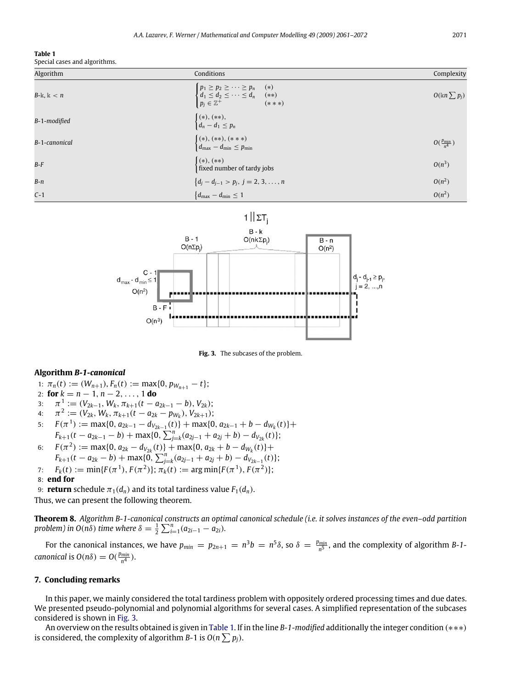#### <span id="page-10-1"></span>**Table 1**

Special cases and algorithms.

| Algorithm       | Conditions                                                                                                                                                          | Complexity                |
|-----------------|---------------------------------------------------------------------------------------------------------------------------------------------------------------------|---------------------------|
| $B$ -k, k $< n$ | $\begin{cases} p_1 \geq p_2 \geq \cdots \geq p_n & (*) \\ d_1 \leq d_2 \leq \cdots \leq d_n & (*) \end{cases}$<br>$p_j \in \mathbb{Z}^+$ $\qquad \qquad$<br>$(***)$ | $O(\ln \sum p_j)$         |
| B-1-modified    | $\begin{cases} (*), (**), \\ d_n - d_1 \leq p_n \end{cases}$                                                                                                        |                           |
| B-1-canonical   | $\begin{cases} (*), (**), (***) \\ d_{\text{max}} - d_{\text{min}} \leq p_{\text{min}} \end{cases}$                                                                 | $O(\frac{p_{\min}}{n^4})$ |
| B-F             | $(*), (**)$<br>fixed number of tardy jobs                                                                                                                           | $O(n^3)$                  |
| B-n             | ${d_j - d_{j-1} > p_j, j = 2, 3, , n}$                                                                                                                              | $O(n^2)$                  |
| $C-1$           | $\{d_{\max} - d_{\min} \leq 1$                                                                                                                                      | $O(n^2)$                  |

<span id="page-10-0"></span>

**Fig. 3.** The subcases of the problem.

#### **Algorithm** *B-1-canonical*

- 1:  $\pi_n(t) := (W_{n+1}), F_n(t) := \max\{0, p_{W_{n+1}} t\};$
- 2: **for**  $k = n 1, n 2, \ldots, 1$  **do**
- 3:  $\pi$ <sup>1</sup></sup> := ( $V_{2k-1}$ ,  $W_k$ ,  $\pi_{k+1}(t a_{2k-1} b)$ ,  $V_{2k}$ );
- 4:  $\pi^2 := (V_{2k}, W_k, \pi_{k+1}(t a_{2k} p_{W_k}), V_{2k+1});$
- 5:  $F(\pi^1) := \max\{0, a_{2k-1} d_{V_{2k-1}}(t)\} + \max\{0, a_{2k-1} + b d_{W_k}(t)\} +$  $F_{k+1}(t - a_{2k-1} - b) + \max\{0, \sum_{j=k}^{n} (a_{2j-1} + a_{2j} + b) - d_{V_{2k}}(t)\};$
- 6:  $F(\pi^2) := \max\{0, a_{2k} d_{V_{2k}}(t)\} + \max\{0, a_{2k} + b d_{W_k}(t)\} +$  $F_{k+1}(t - a_{2k} - b) + \max\{0, \sum_{j=k}^{n} (a_{2j-1} + a_{2j} + b) - d_{V_{2k-1}}(t)\};$
- 7:  $F_k(t) := \min\{F(\pi^1), F(\pi^2)\}; \pi_k(t) := \arg \min\{F(\pi^1), F(\pi^2)\};$

#### 8: **end for**

9: **return** schedule  $\pi_1(d_n)$  and its total tardiness value  $F_1(d_n)$ .

Thus, we can present the following theorem.

**Theorem 8.** *Algorithm B-1-canonical constructs an optimal canonical schedule (i.e. it solves instances of the even–odd partition problem)* in  $O(n\delta)$  *time where*  $\delta = \frac{1}{2} \sum_{i=1}^{n} (a_{2i-1} - a_{2i})$ *.* 

For the canonical instances, we have  $p_{min} = p_{2n+1} = n^3b = n^5\delta$ , so  $\delta = \frac{p_{min}}{n^5}$ , and the complexity of algorithm *B*-1*canonical* is  $O(n\delta) = O(\frac{p_{min}}{n^4})$ .

#### **7. Concluding remarks**

In this paper, we mainly considered the total tardiness problem with oppositely ordered processing times and due dates. We presented pseudo-polynomial and polynomial algorithms for several cases. A simplified representation of the subcases considered is shown in [Fig. 3.](#page-10-0)

An overview on the results obtained is given in [Table 1.](#page-10-1) If in the line *B-1-modified* additionally the integer condition (∗∗∗) is considered, the complexity of algorithm B-1 is  $O(n\sum p_j)$ .